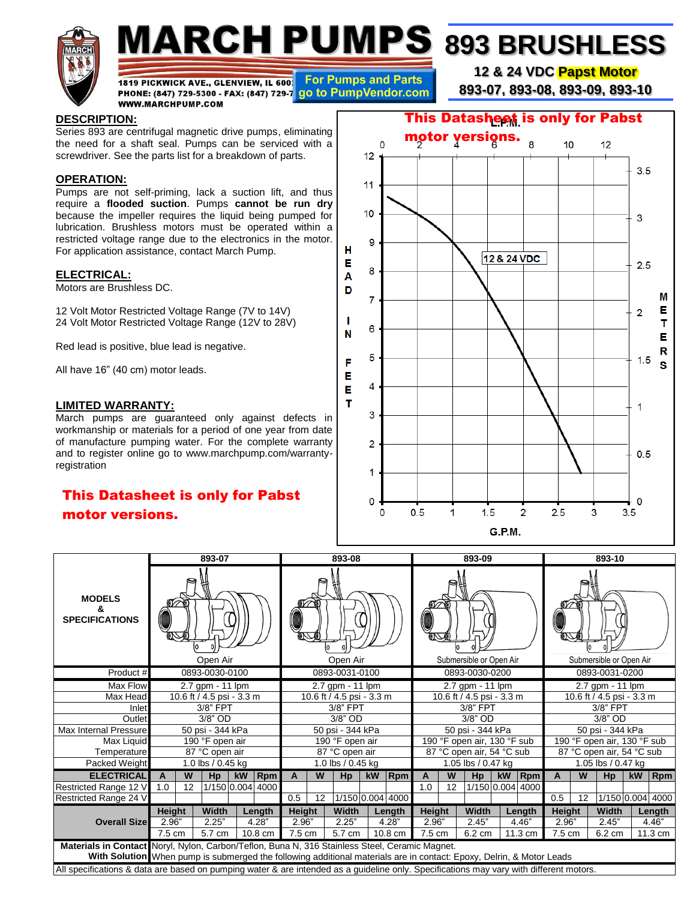

# **MARCH PUMPS 893 BRUSHLESS**

1819 PICKWICK AVE., GLENVIEW, IL 600 For Pumps and Parts PHONE: (847) 729-5300 - FAX: (847) 729-7 go to PumpVendor.com **WWW.MARCHPUMP.COM** 

**12 & 24 VDC Papst Motor**

**893-07, 893-08, 893-09, 893-10**

### **DESCRIPTION:**

Series 893 are centrifugal magnetic drive pumps, eliminating the need for a shaft seal. Pumps can be serviced with a screwdriver. See the parts list for a breakdown of parts.

### **OPERATION:**

Pumps are not self-priming, lack a suction lift, and thus require a **flooded suction**. Pumps **cannot be run dry** because the impeller requires the liquid being pumped for lubrication. Brushless motors must be operated within a restricted voltage range due to the electronics in the motor. For application assistance, contact March Pump.

### **ELECTRICAL:**

Motors are Brushless DC.

12 Volt Motor Restricted Voltage Range (7V to 14V) 24 Volt Motor Restricted Voltage Range (12V to 28V)

Red lead is positive, blue lead is negative.

All have 16" (40 cm) motor leads.

### **LIMITED WARRANTY:**

March pumps are guaranteed only against defects in workmanship or materials for a period of one year from date of manufacture pumping water. For the complete warranty and to register online go to www.marchpump.com/warrantyregistration

## motor versions.



| <b>This Datasheet is only for Pabst</b><br>motor versions.                                                                                                                                                             |          |    |                           |    |                  |                           | 0<br>$\Omega$<br>0.5<br>$\overline{2}$<br>2.5<br>1.5<br>3<br>3.5<br>1<br>0<br><b>G.P.M.</b> |                   |                   |                  |                                       |                             |                         |                           |                         |                                               |                             |       |    |                  |
|------------------------------------------------------------------------------------------------------------------------------------------------------------------------------------------------------------------------|----------|----|---------------------------|----|------------------|---------------------------|---------------------------------------------------------------------------------------------|-------------------|-------------------|------------------|---------------------------------------|-----------------------------|-------------------------|---------------------------|-------------------------|-----------------------------------------------|-----------------------------|-------|----|------------------|
| 893-07                                                                                                                                                                                                                 |          |    |                           |    |                  |                           |                                                                                             | 893-08            |                   |                  | 893-09<br>893-10                      |                             |                         |                           |                         |                                               |                             |       |    |                  |
| <b>MODELS</b><br>&<br><b>SPECIFICATIONS</b>                                                                                                                                                                            | Open Air |    |                           |    |                  | Open Air                  |                                                                                             |                   |                   |                  |                                       |                             | Submersible or Open Air |                           | Submersible or Open Air |                                               |                             |       |    |                  |
| Product #                                                                                                                                                                                                              |          |    | 0893-0030-0100            |    |                  | 0893-0031-0100            |                                                                                             |                   |                   |                  | 0893-0030-0200                        |                             |                         |                           |                         | 0893-0031-0200                                |                             |       |    |                  |
| Max Flow                                                                                                                                                                                                               |          |    | 2.7 gpm - 11 lpm          |    |                  | 2.7 gpm - 11 lpm          |                                                                                             |                   |                   |                  | 2.7 gpm - 11 lpm                      |                             |                         |                           |                         | 2.7 gpm - 11 lpm<br>10.6 ft / 4.5 psi - 3.3 m |                             |       |    |                  |
| Max Head                                                                                                                                                                                                               |          |    | 10.6 ft / 4.5 psi - 3.3 m |    |                  | 10.6 ft / 4.5 psi - 3.3 m |                                                                                             |                   |                   |                  | 10.6 ft / 4.5 psi - 3.3 m<br>3/8" FPT |                             |                         |                           |                         |                                               |                             |       |    |                  |
| Inlet<br>Outlet                                                                                                                                                                                                        |          |    | 3/8" FPT<br>3/8" OD       |    |                  | 3/8" FPT<br>3/8" OD       |                                                                                             |                   |                   |                  | $3/8"$ OD                             |                             |                         |                           |                         | 3/8" FPT<br>3/8" OD                           |                             |       |    |                  |
| <b>Max Internal Pressure</b>                                                                                                                                                                                           |          |    | 50 psi - 344 kPa          |    |                  | 50 psi - 344 kPa          |                                                                                             |                   |                   |                  | 50 psi - 344 kPa                      |                             |                         |                           |                         | 50 psi - 344 kPa                              |                             |       |    |                  |
| Max Liquid                                                                                                                                                                                                             |          |    | 190 °F open air           |    |                  | 190 °F open air           |                                                                                             |                   |                   |                  | 190 °F open air, 130 °F sub           |                             |                         |                           |                         | 190 °F open air, 130 °F sub                   |                             |       |    |                  |
| Temperature                                                                                                                                                                                                            |          |    | 87 °C open air            |    |                  |                           |                                                                                             | 87 °C open air    |                   |                  |                                       | 87 °C open air, 54 °C sub   |                         | 87 °C open air, 54 °C sub |                         |                                               |                             |       |    |                  |
| Packed Weight                                                                                                                                                                                                          |          |    | 1.0 lbs / 0.45 kg         |    |                  |                           |                                                                                             | 1.0 lbs / 0.45 kg |                   |                  | 1.05 lbs / 0.47 kg                    |                             | 1.05 lbs / 0.47 kg      |                           |                         |                                               |                             |       |    |                  |
| <b>ELECTRICAL</b>                                                                                                                                                                                                      | A        | W  | Hp                        | kW | $ R$ pm          | A                         | W                                                                                           | Hp                | kW                | $ R$ pm          | A                                     | W                           | Hp                      | kW                        | $ R$ pm                 | A                                             | W                           | Hp    | kW | <b>Rpm</b>       |
| Restricted Range 12 V                                                                                                                                                                                                  | 1.0      | 12 |                           |    | 1/150 0.004 4000 |                           |                                                                                             |                   |                   |                  | 1.0                                   | 12                          |                         |                           | 1/150 0.004 4000        |                                               |                             |       |    |                  |
| Restricted Range 24 V                                                                                                                                                                                                  |          |    |                           |    |                  | 0.5                       | 12                                                                                          |                   |                   | 1/150 0.004 4000 |                                       |                             |                         |                           |                         | 0.5                                           | 12                          |       |    | 1/150 0.004 4000 |
|                                                                                                                                                                                                                        | Height   |    | Width                     |    | Length           | Height                    |                                                                                             | Width             |                   | Length           | Height                                |                             | Width                   |                           | Length                  | Height                                        |                             | Width |    | Length           |
| <b>Overall Size</b>                                                                                                                                                                                                    | 2.96"    |    | 2.25"<br>4.28"            |    |                  | 2.96"                     |                                                                                             | 2.25"             |                   | 4.28"            | 2.96"                                 |                             | 2.45"                   |                           | 4.46"                   | 2.96"                                         |                             | 2.45" |    | 4.46"            |
| 7.5 cm<br>5.7 cm<br>10.8 cm                                                                                                                                                                                            |          |    |                           |    |                  | 7.5 cm                    |                                                                                             |                   | 5.7 cm<br>10.8 cm |                  |                                       | 7.5 cm<br>6.2 cm<br>11.3 cm |                         |                           |                         |                                               | 7.5 cm<br>6.2 cm<br>11.3 cm |       |    |                  |
| Materials in Contact Noryl, Nylon, Carbon/Teflon, Buna N, 316 Stainless Steel, Ceramic Magnet.<br>With Solution When pump is submerged the following additional materials are in contact: Epoxy, Delrin, & Motor Leads |          |    |                           |    |                  |                           |                                                                                             |                   |                   |                  |                                       |                             |                         |                           |                         |                                               |                             |       |    |                  |
| All specifications & data are based on pumping water & are intended as a guideline only. Specifications may vary with different motors.                                                                                |          |    |                           |    |                  |                           |                                                                                             |                   |                   |                  |                                       |                             |                         |                           |                         |                                               |                             |       |    |                  |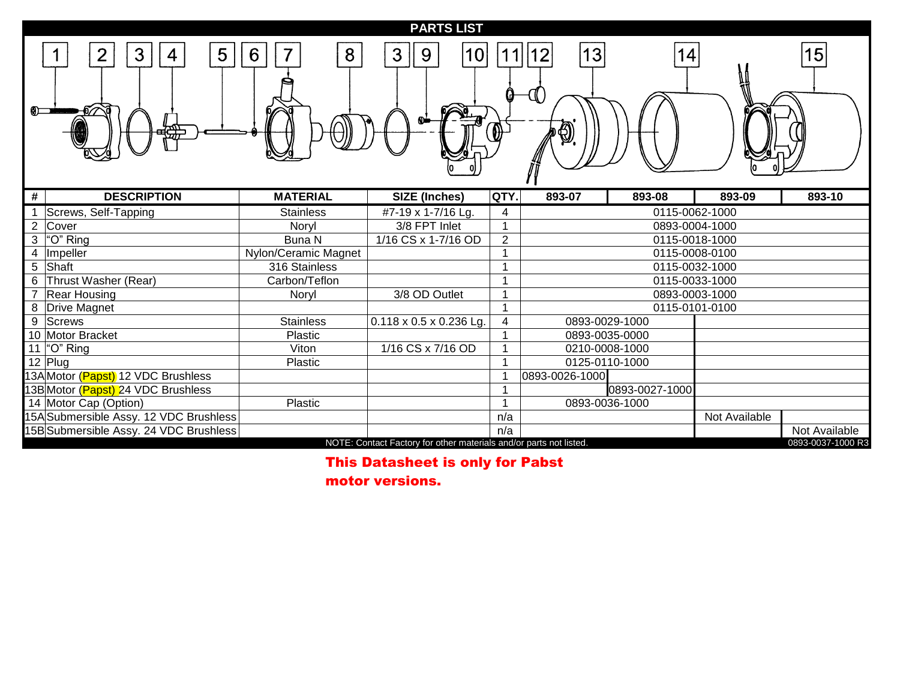### **PARTS LIST**

| ை              | 5<br>3<br>2<br>4                       | 6<br>8               | 3<br>9<br>10                                                       | $\Theta$                 | 13<br>0        | 14             |               | 15                |
|----------------|----------------------------------------|----------------------|--------------------------------------------------------------------|--------------------------|----------------|----------------|---------------|-------------------|
| #              | <b>DESCRIPTION</b>                     | <b>MATERIAL</b>      | <b>SIZE (Inches)</b>                                               | QTY.                     | 893-07         | 893-08         | 893-09        | 893-10            |
|                | Screws, Self-Tapping                   | <b>Stainless</b>     | #7-19 x 1-7/16 Lg.                                                 | 4                        |                | 0115-0062-1000 |               |                   |
| $\overline{2}$ | Cover                                  | Noryl                | 3/8 FPT Inlet                                                      | $\overline{\mathcal{A}}$ |                | 0893-0004-1000 |               |                   |
| 3              | "O" Ring                               | Buna N               | 1/16 CS x 1-7/16 OD                                                | $\overline{2}$           |                | 0115-0018-1000 |               |                   |
|                | Impeller                               | Nylon/Ceramic Magnet |                                                                    | -1                       |                | 0115-0008-0100 |               |                   |
| 5              | Shaft                                  | 316 Stainless        |                                                                    |                          |                | 0115-0032-1000 |               |                   |
| 6              | Thrust Washer (Rear)                   | Carbon/Teflon        |                                                                    | -1                       |                | 0115-0033-1000 |               |                   |
|                | <b>Rear Housing</b>                    | Noryl                | 3/8 OD Outlet                                                      | $\overline{\phantom{a}}$ |                | 0893-0003-1000 |               |                   |
| 8              | Drive Magnet                           |                      |                                                                    | $\overline{\phantom{a}}$ |                | 0115-0101-0100 |               |                   |
| 9              | <b>Screws</b>                          | <b>Stainless</b>     | $0.118 \times 0.5 \times 0.236$ Lg.                                | 4                        | 0893-0029-1000 |                |               |                   |
|                | 10 Motor Bracket                       | <b>Plastic</b>       |                                                                    |                          | 0893-0035-0000 |                |               |                   |
| 11             | "O" Ring                               | Viton                | 1/16 CS x 7/16 OD                                                  |                          | 0210-0008-1000 |                |               |                   |
|                | 12 Plug                                | <b>Plastic</b>       |                                                                    |                          | 0125-0110-1000 |                |               |                   |
|                | 13A Motor (Papst) 12 VDC Brushless     |                      |                                                                    |                          | 0893-0026-1000 |                |               |                   |
|                | 13B Motor (Papst) 24 VDC Brushless     |                      |                                                                    |                          |                | 0893-0027-1000 |               |                   |
|                | 14 Motor Cap (Option)                  | Plastic              |                                                                    | $\overline{\phantom{a}}$ | 0893-0036-1000 |                |               |                   |
|                | 15A Submersible Assy. 12 VDC Brushless |                      |                                                                    | n/a                      |                |                | Not Available |                   |
|                | 15B Submersible Assy. 24 VDC Brushless |                      |                                                                    | n/a                      |                |                |               | Not Available     |
|                |                                        |                      | NOTE: Contact Factory for other materials and/or parts not listed. |                          |                |                |               | 0893-0037-1000 R3 |

## This Datasheet is only for Pabst

motor versions.